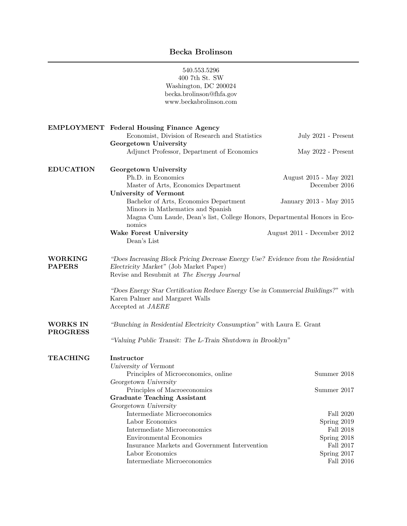540.553.5296 400 7th St. SW Washington, DC 200024 becka.brolinson@fhfa.gov [www.beckabrolinson.com](https://www.beckabrolinson.com/) EMPLOYMENT Federal Housing Finance Agency Economist, Division of Research and Statistics July 2021 - Present Georgetown University Adjunct Professor, Department of Economics May 2022 - Present EDUCATION Georgetown University Ph.D. in Economics August 2015 - May 2021 Master of Arts, Economics Department December 2016 University of Vermont Bachelor of Arts, Economics Department January 2013 - May 2015 Minors in Mathematics and Spanish Magna Cum Laude, Dean's list, College Honors, Departmental Honors in Economics Wake Forest University **August 2011** - December 2012 Dean's List WORKING PAPERS "Does Increasing Block Pricing Decrease Energy Use? Evidence from the Residential Electricity Market" (Job Market Paper) Revise and Resubmit at The Energy Journal "Does Energy Star Certification Reduce Energy Use in Commercial Buildings?" with Karen Palmer and Margaret Walls Accepted at JAERE WORKS IN PROGRESS "Bunching in Residential Electricity Consumption" with Laura E. Grant "Valuing Public Transit: The L-Train Shutdown in Brooklyn" TEACHING Instructor University of Vermont Principles of Microeconomics, online Summer 2018 Georgetown University Principles of Macroeconomics Summer 2017 Graduate Teaching Assistant Georgetown University Intermediate Microeconomics Fall 2020 Labor Economics Spring 2019 Intermediate Microeconomics Fall 2018 Environmental Economics Spring 2018 Insurance Markets and Government Intervention Fall 2017 Labor Economics Spring 2017 Intermediate Microeconomics Fall 2016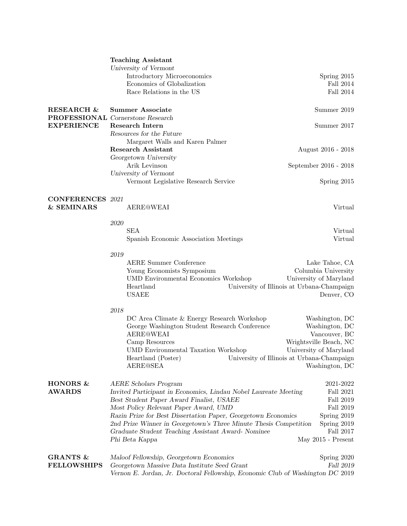|                                       | <b>Teaching Assistant</b>                                                      |                                                                      |  |
|---------------------------------------|--------------------------------------------------------------------------------|----------------------------------------------------------------------|--|
|                                       | University of Vermont                                                          |                                                                      |  |
|                                       | Introductory Microeconomics                                                    | Spring 2015                                                          |  |
|                                       | Economics of Globalization                                                     | Fall 2014                                                            |  |
|                                       | Race Relations in the US                                                       | <b>Fall 2014</b>                                                     |  |
| <b>RESEARCH &amp;</b>                 | <b>Summer Associate</b>                                                        | Summer 2019                                                          |  |
|                                       | <b>PROFESSIONAL</b> Cornerstone Research                                       |                                                                      |  |
| <b>EXPERIENCE</b>                     | Research Intern                                                                | Summer 2017                                                          |  |
|                                       | Resources for the Future                                                       |                                                                      |  |
|                                       | Margaret Walls and Karen Palmer                                                |                                                                      |  |
|                                       | Research Assistant                                                             | August 2016 - 2018                                                   |  |
|                                       | Georgetown University                                                          |                                                                      |  |
|                                       | Arik Levinson                                                                  | September 2016 - 2018                                                |  |
|                                       | University of Vermont                                                          |                                                                      |  |
|                                       | Vermont Legislative Research Service                                           | Spring 2015                                                          |  |
| <b>CONFERENCES</b> 2021<br>& SEMINARS | <b>AERE@WEAI</b>                                                               | Virtual                                                              |  |
|                                       | 2020                                                                           |                                                                      |  |
|                                       | <b>SEA</b>                                                                     | Virtual                                                              |  |
|                                       | Spanish Economic Association Meetings                                          | Virtual                                                              |  |
|                                       |                                                                                |                                                                      |  |
|                                       | 2019                                                                           |                                                                      |  |
|                                       | <b>AERE Summer Conference</b>                                                  | Lake Tahoe, CA                                                       |  |
|                                       | Young Economists Symposium                                                     | Columbia University                                                  |  |
|                                       | <b>UMD Environmental Economics Workshop</b>                                    | University of Maryland                                               |  |
|                                       | Heartland                                                                      | University of Illinois at Urbana-Champaign                           |  |
|                                       | <b>USAEE</b>                                                                   | Denver, CO                                                           |  |
|                                       |                                                                                |                                                                      |  |
|                                       | 2018                                                                           |                                                                      |  |
|                                       | DC Area Climate & Energy Research Workshop                                     | Washington, DC                                                       |  |
|                                       | George Washington Student Research Conference                                  | Washington, DC                                                       |  |
|                                       | <b>AERE@WEAI</b>                                                               | Vancouver, BC                                                        |  |
|                                       | Camp Resources<br><b>UMD</b> Environmental Taxation Workshop                   | Wrightsville Beach, NC                                               |  |
|                                       | Heartland (Poster)                                                             | University of Maryland<br>University of Illinois at Urbana-Champaign |  |
|                                       | <b>AERE@SEA</b>                                                                | Washington, DC                                                       |  |
|                                       |                                                                                |                                                                      |  |
| HONORS &                              | AERE Scholars Program                                                          | 2021-2022                                                            |  |
| <b>AWARDS</b>                         | Invited Participant in Economics, Lindau Nobel Laureate Meeting                | Fall 2021                                                            |  |
|                                       | Best Student Paper Award Finalist, USAEE                                       | Fall $2019\,$                                                        |  |
|                                       | Most Policy Relevant Paper Award, UMD                                          | Fall 2019                                                            |  |
|                                       | Razin Prize for Best Dissertation Paper, Georgetown Economics                  | Spring 2019                                                          |  |
|                                       | 2nd Prize Winner in Georgetown's Three Minute Thesis Competition               | Spring 2019<br>Fall 2017                                             |  |
|                                       | Graduate Student Teaching Assistant Award- Nominee                             |                                                                      |  |
|                                       | Phi Beta Kappa                                                                 | May $2015$ - Present                                                 |  |
| <b>GRANTS &amp;</b>                   | Maloof Fellowship, Georgetown Economics                                        | Spring 2020                                                          |  |
| <b>FELLOWSHIPS</b>                    | Georgetown Massive Data Institute Seed Grant                                   | Fall 2019                                                            |  |
|                                       | Vernon E. Jordan, Jr. Doctoral Fellowship, Economic Club of Washington DC 2019 |                                                                      |  |